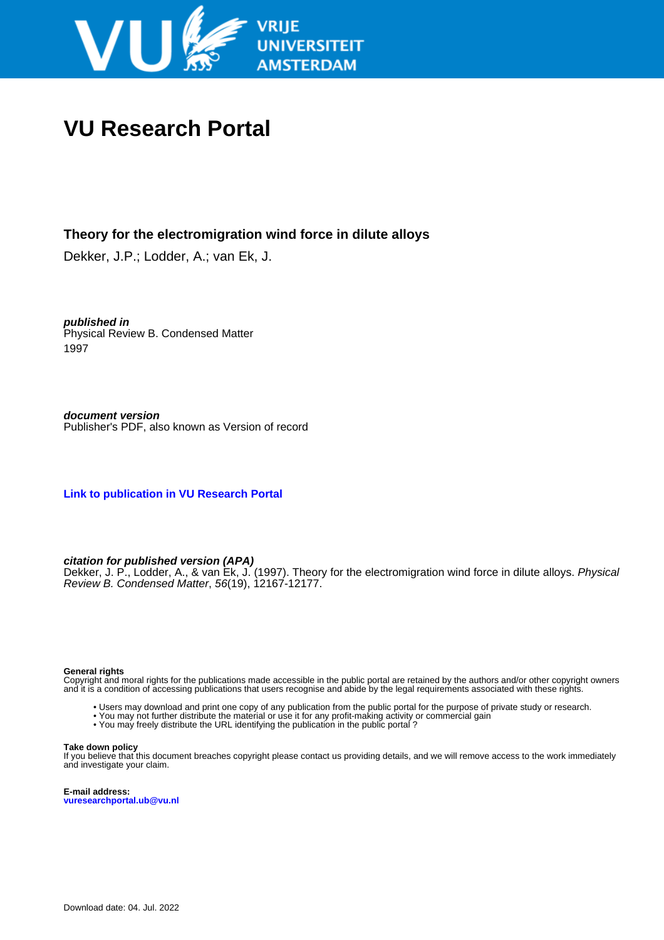

# **VU Research Portal**

# **Theory for the electromigration wind force in dilute alloys**

Dekker, J.P.; Lodder, A.; van Ek, J.

**published in** Physical Review B. Condensed Matter 1997

**document version** Publisher's PDF, also known as Version of record

**[Link to publication in VU Research Portal](https://research.vu.nl/en/publications/8b47e1eb-a212-4d6d-99fb-80db21e58d98)**

# **citation for published version (APA)**

Dekker, J. P., Lodder, A., & van Ek, J. (1997). Theory for the electromigration wind force in dilute alloys. Physical Review B. Condensed Matter, 56(19), 12167-12177.

# **General rights**

Copyright and moral rights for the publications made accessible in the public portal are retained by the authors and/or other copyright owners and it is a condition of accessing publications that users recognise and abide by the legal requirements associated with these rights.

- Users may download and print one copy of any publication from the public portal for the purpose of private study or research.
- You may not further distribute the material or use it for any profit-making activity or commercial gain
- You may freely distribute the URL identifying the publication in the public portal ?

## **Take down policy**

If you believe that this document breaches copyright please contact us providing details, and we will remove access to the work immediately and investigate your claim.

**E-mail address: vuresearchportal.ub@vu.nl**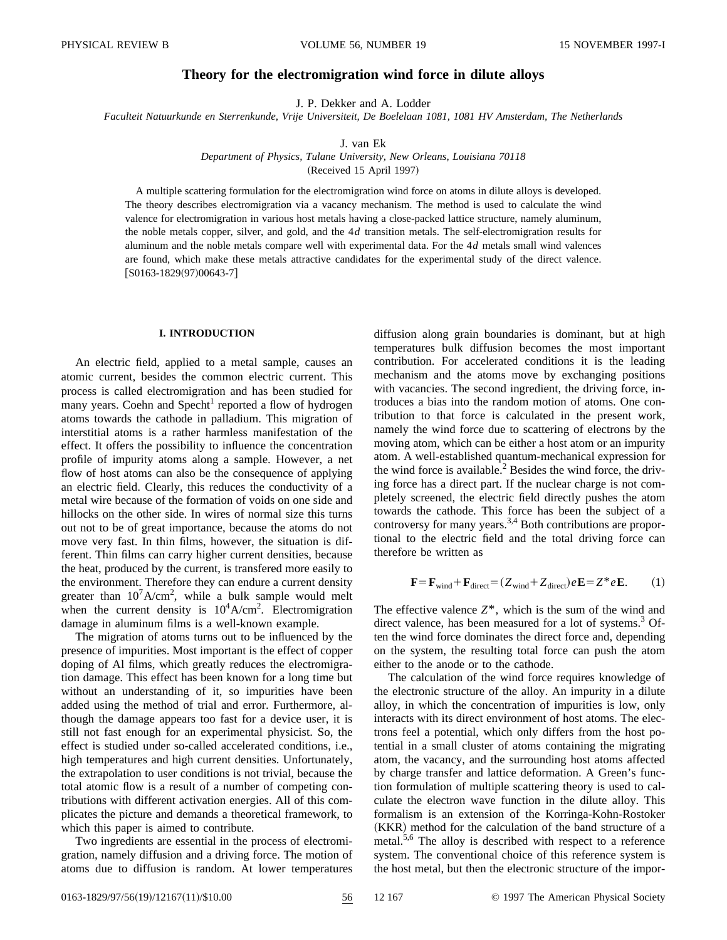# **Theory for the electromigration wind force in dilute alloys**

J. P. Dekker and A. Lodder

*Faculteit Natuurkunde en Sterrenkunde, Vrije Universiteit, De Boelelaan 1081, 1081 HV Amsterdam, The Netherlands*

#### J. van Ek

*Department of Physics, Tulane University, New Orleans, Louisiana 70118*

(Received 15 April 1997)

A multiple scattering formulation for the electromigration wind force on atoms in dilute alloys is developed. The theory describes electromigration via a vacancy mechanism. The method is used to calculate the wind valence for electromigration in various host metals having a close-packed lattice structure, namely aluminum, the noble metals copper, silver, and gold, and the 4*d* transition metals. The self-electromigration results for aluminum and the noble metals compare well with experimental data. For the 4*d* metals small wind valences are found, which make these metals attractive candidates for the experimental study of the direct valence.  $[ S0163-1829(97)00643-7 ]$ 

# **I. INTRODUCTION**

An electric field, applied to a metal sample, causes an atomic current, besides the common electric current. This process is called electromigration and has been studied for many years. Coehn and Specht<sup>1</sup> reported a flow of hydrogen atoms towards the cathode in palladium. This migration of interstitial atoms is a rather harmless manifestation of the effect. It offers the possibility to influence the concentration profile of impurity atoms along a sample. However, a net flow of host atoms can also be the consequence of applying an electric field. Clearly, this reduces the conductivity of a metal wire because of the formation of voids on one side and hillocks on the other side. In wires of normal size this turns out not to be of great importance, because the atoms do not move very fast. In thin films, however, the situation is different. Thin films can carry higher current densities, because the heat, produced by the current, is transfered more easily to the environment. Therefore they can endure a current density greater than  $10^7$ A/cm<sup>2</sup>, while a bulk sample would melt when the current density is  $10^4$ A/cm<sup>2</sup>. Electromigration damage in aluminum films is a well-known example.

The migration of atoms turns out to be influenced by the presence of impurities. Most important is the effect of copper doping of Al films, which greatly reduces the electromigration damage. This effect has been known for a long time but without an understanding of it, so impurities have been added using the method of trial and error. Furthermore, although the damage appears too fast for a device user, it is still not fast enough for an experimental physicist. So, the effect is studied under so-called accelerated conditions, i.e., high temperatures and high current densities. Unfortunately, the extrapolation to user conditions is not trivial, because the total atomic flow is a result of a number of competing contributions with different activation energies. All of this complicates the picture and demands a theoretical framework, to which this paper is aimed to contribute.

Two ingredients are essential in the process of electromigration, namely diffusion and a driving force. The motion of atoms due to diffusion is random. At lower temperatures diffusion along grain boundaries is dominant, but at high temperatures bulk diffusion becomes the most important contribution. For accelerated conditions it is the leading mechanism and the atoms move by exchanging positions with vacancies. The second ingredient, the driving force, introduces a bias into the random motion of atoms. One contribution to that force is calculated in the present work, namely the wind force due to scattering of electrons by the moving atom, which can be either a host atom or an impurity atom. A well-established quantum-mechanical expression for the wind force is available.<sup>2</sup> Besides the wind force, the driving force has a direct part. If the nuclear charge is not completely screened, the electric field directly pushes the atom towards the cathode. This force has been the subject of a controversy for many years.<sup>3,4</sup> Both contributions are proportional to the electric field and the total driving force can therefore be written as

$$
\mathbf{F} = \mathbf{F}_{\text{wind}} + \mathbf{F}_{\text{direct}} = (Z_{\text{wind}} + Z_{\text{direct}})e\mathbf{E} = Z^*e\mathbf{E}.
$$
 (1)

The effective valence *Z*\*, which is the sum of the wind and direct valence, has been measured for a lot of systems.<sup>3</sup> Often the wind force dominates the direct force and, depending on the system, the resulting total force can push the atom either to the anode or to the cathode.

The calculation of the wind force requires knowledge of the electronic structure of the alloy. An impurity in a dilute alloy, in which the concentration of impurities is low, only interacts with its direct environment of host atoms. The electrons feel a potential, which only differs from the host potential in a small cluster of atoms containing the migrating atom, the vacancy, and the surrounding host atoms affected by charge transfer and lattice deformation. A Green's function formulation of multiple scattering theory is used to calculate the electron wave function in the dilute alloy. This formalism is an extension of the Korringa-Kohn-Rostoker  $(KKR)$  method for the calculation of the band structure of a metal.<sup>5,6</sup> The alloy is described with respect to a reference system. The conventional choice of this reference system is the host metal, but then the electronic structure of the impor-

0163-1829/97/56(19)/12167(11)/\$10.00 56 12 167 © 1997 The American Physical Society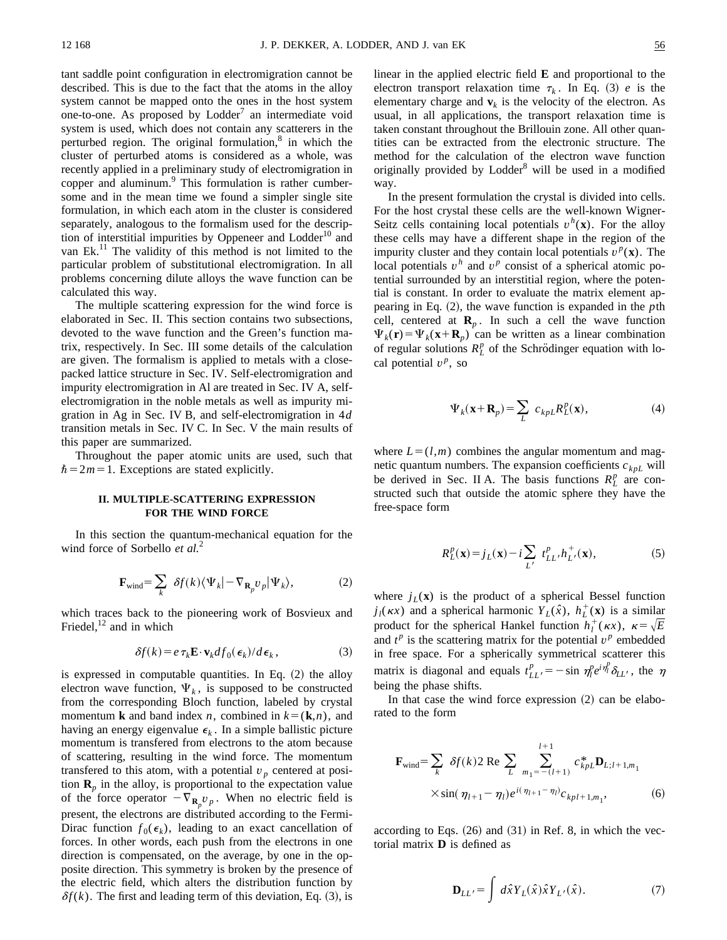tant saddle point configuration in electromigration cannot be described. This is due to the fact that the atoms in the alloy system cannot be mapped onto the ones in the host system one-to-one. As proposed by  $L$ odder<sup>7</sup> an intermediate void system is used, which does not contain any scatterers in the perturbed region. The original formulation, $8$  in which the cluster of perturbed atoms is considered as a whole, was recently applied in a preliminary study of electromigration in copper and aluminum.<sup>9</sup> This formulation is rather cumbersome and in the mean time we found a simpler single site formulation, in which each atom in the cluster is considered separately, analogous to the formalism used for the description of interstitial impurities by Oppeneer and  $Lodder<sup>10</sup>$  and van Ek.<sup>11</sup> The validity of this method is not limited to the particular problem of substitutional electromigration. In all problems concerning dilute alloys the wave function can be calculated this way.

The multiple scattering expression for the wind force is elaborated in Sec. II. This section contains two subsections, devoted to the wave function and the Green's function matrix, respectively. In Sec. III some details of the calculation are given. The formalism is applied to metals with a closepacked lattice structure in Sec. IV. Self-electromigration and impurity electromigration in Al are treated in Sec. IV A, selfelectromigration in the noble metals as well as impurity migration in Ag in Sec. IV B, and self-electromigration in 4*d* transition metals in Sec. IV C. In Sec. V the main results of this paper are summarized.

Throughout the paper atomic units are used, such that  $\hbar = 2m = 1$ . Exceptions are stated explicitly.

# **II. MULTIPLE-SCATTERING EXPRESSION FOR THE WIND FORCE**

In this section the quantum-mechanical equation for the wind force of Sorbello *et al.*<sup>2</sup>

$$
\mathbf{F}_{\text{wind}} = \sum_{k} \delta f(k) \langle \Psi_k | - \nabla_{\mathbf{R}_p} v_p | \Psi_k \rangle, \tag{2}
$$

which traces back to the pioneering work of Bosvieux and Friedel, $^{12}$  and in which

$$
\delta f(k) = e \tau_k \mathbf{E} \cdot \mathbf{v}_k df_0(\boldsymbol{\epsilon}_k) / d \boldsymbol{\epsilon}_k, \qquad (3)
$$

is expressed in computable quantities. In Eq.  $(2)$  the alloy electron wave function,  $\Psi_k$ , is supposed to be constructed from the corresponding Bloch function, labeled by crystal momentum **k** and band index *n*, combined in  $k = (\mathbf{k}, n)$ , and having an energy eigenvalue  $\epsilon_k$ . In a simple ballistic picture momentum is transfered from electrons to the atom because of scattering, resulting in the wind force. The momentum transferred to this atom, with a potential  $v_p$  centered at position  $\mathbf{R}_p$  in the alloy, is proportional to the expectation value of the force operator  $-\nabla_{\mathbf{R}_p} v_p$ . When no electric field is present, the electrons are distributed according to the Fermi-Dirac function  $f_0(\epsilon_k)$ , leading to an exact cancellation of forces. In other words, each push from the electrons in one direction is compensated, on the average, by one in the opposite direction. This symmetry is broken by the presence of the electric field, which alters the distribution function by  $\delta f(k)$ . The first and leading term of this deviation, Eq. (3), is linear in the applied electric field **E** and proportional to the electron transport relaxation time  $\tau_k$ . In Eq. (3) *e* is the elementary charge and  $\mathbf{v}_k$  is the velocity of the electron. As usual, in all applications, the transport relaxation time is taken constant throughout the Brillouin zone. All other quantities can be extracted from the electronic structure. The method for the calculation of the electron wave function originally provided by  $L$ odder $8$  will be used in a modified way.

In the present formulation the crystal is divided into cells. For the host crystal these cells are the well-known Wigner-Seitz cells containing local potentials  $v^h(\mathbf{x})$ . For the alloy these cells may have a different shape in the region of the impurity cluster and they contain local potentials  $v^p(\mathbf{x})$ . The local potentials  $v^h$  and  $v^p$  consist of a spherical atomic potential surrounded by an interstitial region, where the potential is constant. In order to evaluate the matrix element appearing in Eq.  $(2)$ , the wave function is expanded in the *p*th cell, centered at  $\mathbf{R}_p$ . In such a cell the wave function  $\Psi_k(\mathbf{r}) = \Psi_k(\mathbf{x} + \mathbf{R}_p)$  can be written as a linear combination of regular solutions  $R_L^p$  of the Schrödinger equation with local potential  $v^p$ , so

$$
\Psi_k(\mathbf{x} + \mathbf{R}_p) = \sum_L c_{kpl} R_L^p(\mathbf{x}),\tag{4}
$$

where  $L=(l,m)$  combines the angular momentum and magnetic quantum numbers. The expansion coefficients  $c_{kpl}$  will be derived in Sec. II A. The basis functions  $R_L^p$  are constructed such that outside the atomic sphere they have the free-space form

$$
R_L^p(\mathbf{x}) = j_L(\mathbf{x}) - i \sum_{L'} t_{LL'}^p h_{L'}^+(\mathbf{x}),
$$
 (5)

where  $j_L(\mathbf{x})$  is the product of a spherical Bessel function  $j_l(\kappa x)$  and a spherical harmonic  $Y_L(\hat{x})$ ,  $h_L^+(\mathbf{x})$  is a similar product for the spherical Hankel function  $h_l^+(\kappa x)$ ,  $\kappa = \sqrt{E}$ and  $t^p$  is the scattering matrix for the potential  $v^p$  embedded in free space. For a spherically symmetrical scatterer this matrix is diagonal and equals  $t_{LL}^p = -\sin \eta_l^p e^{i\eta_l^p} \delta_{LL}$ , the  $\eta$ being the phase shifts.

In that case the wind force expression  $(2)$  can be elaborated to the form

$$
\mathbf{F}_{\text{wind}} = \sum_{k} \delta f(k) 2 \text{ Re } \sum_{L} \sum_{m_1 = -(l+1)}^{l+1} c_{kpl}^* \mathbf{D}_{L;l+1,m_1}
$$
  
 
$$
\times \sin(\eta_{l+1} - \eta_l) e^{i(\eta_{l+1} - \eta_l)} c_{kpl+1,m_1}, \tag{6}
$$

according to Eqs.  $(26)$  and  $(31)$  in Ref. 8, in which the vectorial matrix **D** is defined as

$$
\mathbf{D}_{LL'} = \int d\hat{x} Y_L(\hat{x}) \hat{x} Y_{L'}(\hat{x}). \tag{7}
$$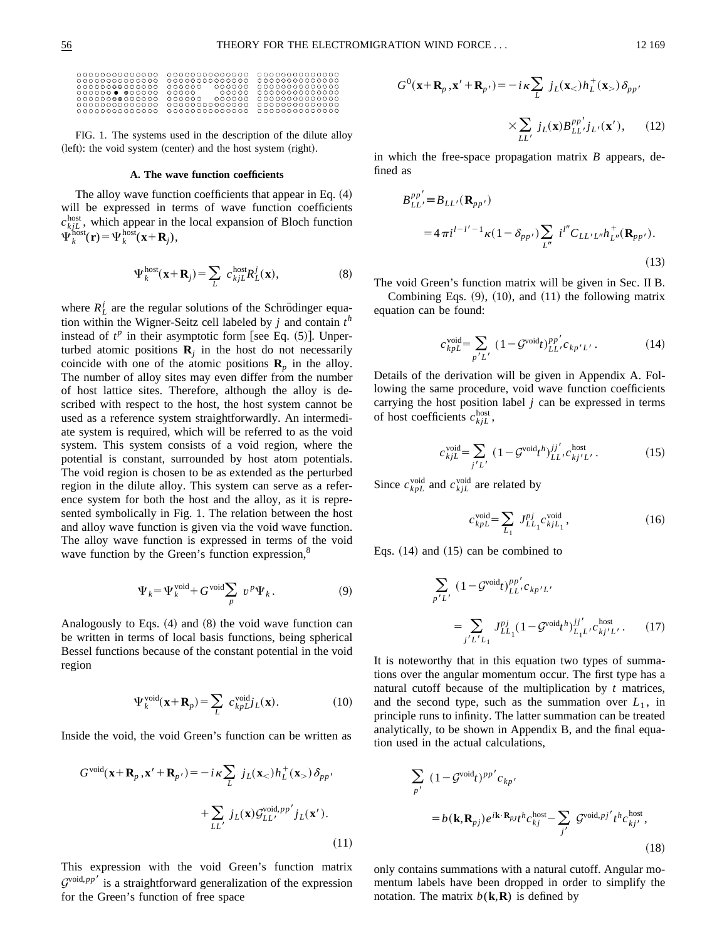| 00000000000000  | 00000000000000   | 0000000000000  |
|-----------------|------------------|----------------|
| 00000000000000  | 00000000000000   | 0000000000000  |
| 00000000000000  | 000000<br>000000 | 00000000000000 |
| 000000 ● ●00000 | 00000<br>ooooo   | 0000000000000  |
| 0000000@000000  | 000000<br>coccoc | 0.000000000000 |
| 00000000000000  | 0000000000000    | 0000000000000  |
| 00000000000000  | 0000000000000    | 0000000000000  |

FIG. 1. The systems used in the description of the dilute alloy  $(l$ eft): the void system  $(c$ enter) and the host system  $(right)$ .

#### **A. The wave function coefficients**

The alloy wave function coefficients that appear in Eq.  $(4)$ will be expressed in terms of wave function coefficients  $c_{kjL}^{\text{host}}$ , which appear in the local expansion of Bloch function  $\Psi_k^{\text{host}}(\mathbf{r}) = \Psi_k^{\text{host}}(\mathbf{x} + \mathbf{R}_j),$ 

$$
\Psi_k^{\text{host}}(\mathbf{x} + \mathbf{R}_j) = \sum_L c_{kjL}^{\text{host}} R_L^j(\mathbf{x}),\tag{8}
$$

where  $R_L^j$  are the regular solutions of the Schrödinger equation within the Wigner-Seitz cell labeled by *j* and contain *t h* instead of  $t^p$  in their asymptotic form [see Eq.  $(5)$ ]. Unperturbed atomic positions  $\mathbf{R}_i$  in the host do not necessarily coincide with one of the atomic positions  $\mathbf{R}_p$  in the alloy. The number of alloy sites may even differ from the number of host lattice sites. Therefore, although the alloy is described with respect to the host, the host system cannot be used as a reference system straightforwardly. An intermediate system is required, which will be referred to as the void system. This system consists of a void region, where the potential is constant, surrounded by host atom potentials. The void region is chosen to be as extended as the perturbed region in the dilute alloy. This system can serve as a reference system for both the host and the alloy, as it is represented symbolically in Fig. 1. The relation between the host and alloy wave function is given via the void wave function. The alloy wave function is expressed in terms of the void wave function by the Green's function expression,<sup>8</sup>

$$
\Psi_k = \Psi_k^{\text{void}} + G^{\text{void}} \sum_p v^p \Psi_k.
$$
\n(9)

Analogously to Eqs.  $(4)$  and  $(8)$  the void wave function can be written in terms of local basis functions, being spherical Bessel functions because of the constant potential in the void region

$$
\Psi_k^{\text{void}}(\mathbf{x} + \mathbf{R}_p) = \sum_L c_{k p L}^{\text{void}} j_L(\mathbf{x}).
$$
\n(10)

Inside the void, the void Green's function can be written as

$$
G^{\text{void}}(\mathbf{x} + \mathbf{R}_p, \mathbf{x}' + \mathbf{R}_{p'}) = -i\kappa \sum_{L} j_L(\mathbf{x}_> h_L^+(\mathbf{x}_> \delta_{pp'} + \sum_{LL'} j_L(\mathbf{x}) \mathcal{G}_{LL'}^{\text{void}, pp'} j_L(\mathbf{x}').
$$
\n
$$
(11)
$$

This expression with the void Green's function matrix  $G^{\text{void}, pp'}$  is a straightforward generalization of the expression for the Green's function of free space

$$
G^{0}(\mathbf{x} + \mathbf{R}_{p}, \mathbf{x}' + \mathbf{R}_{p'}) = -i\kappa \sum_{L} j_{L}(\mathbf{x}_{<}) h_{L}^{+}(\mathbf{x}_{>}) \delta_{pp'}
$$

$$
\times \sum_{LL'} j_{L}(\mathbf{x}) B_{LL'}^{pp'} j_{L'}(\mathbf{x}'), \qquad (12)
$$

in which the free-space propagation matrix *B* appears, defined as

$$
B_{LL'}^{pp'} = B_{LL'}(\mathbf{R}_{pp'})
$$
  
=  $4\pi i^{l-l'-1} \kappa (1 - \delta_{pp'}) \sum_{L''} i^{l''} C_{LL'L''} h_{L''}^+(\mathbf{R}_{pp'}).$  (13)

The void Green's function matrix will be given in Sec. II B.

Combining Eqs.  $(9)$ ,  $(10)$ , and  $(11)$  the following matrix equation can be found:

$$
c_{k p L}^{\text{void}} = \sum_{p' L'} (1 - \mathcal{G}^{\text{void}} t)^{p p'}_{L L'} c_{k p' L'}.
$$
 (14)

Details of the derivation will be given in Appendix A. Following the same procedure, void wave function coefficients carrying the host position label *j* can be expressed in terms of host coefficients  $c_{kjL}^{\text{host}}$ ,

$$
c_{kjL}^{\text{void}} = \sum_{j'L'} (1 - \mathcal{G}^{\text{void}} t^h)_{LL'}^{jj'} c_{kj'L'}^{\text{host}}.
$$
 (15)

Since  $c_{k p L}^{\text{void}}$  and  $c_{k j L}^{\text{void}}$  are related by

$$
c_{k p L}^{\text{void}} = \sum_{L_1} J_{L L_1}^{p j} c_{k j L_1}^{\text{void}}, \qquad (16)
$$

Eqs.  $(14)$  and  $(15)$  can be combined to

$$
\sum_{p'L'} (1 - \mathcal{G}^{\text{void}} t)^{pp'}_{LL'} c_{kp'L'}
$$
  
= 
$$
\sum_{j'L'L_1} J^{pj}_{LL_1} (1 - \mathcal{G}^{\text{void}} t^h)^{jj'}_{L_1 L'} c^{\text{host}}_{kj'L'}.
$$
 (17)

It is noteworthy that in this equation two types of summations over the angular momentum occur. The first type has a natural cutoff because of the multiplication by *t* matrices, and the second type, such as the summation over  $L_1$ , in principle runs to infinity. The latter summation can be treated analytically, to be shown in Appendix B, and the final equation used in the actual calculations,

$$
\sum_{p'} (1 - \mathcal{G}^{\text{void}} t)^{pp'} c_{kp'}
$$
  
=  $b(\mathbf{k}, \mathbf{R}_{pj}) e^{i\mathbf{k} \cdot \mathbf{R}_{pJ} t h} c_{kj}^{\text{host}} - \sum_{j'} \mathcal{G}^{\text{void}, pj'} t^h c_{kj'}^{\text{host}},$  (18)

only contains summations with a natural cutoff. Angular momentum labels have been dropped in order to simplify the notation. The matrix  $b(k, R)$  is defined by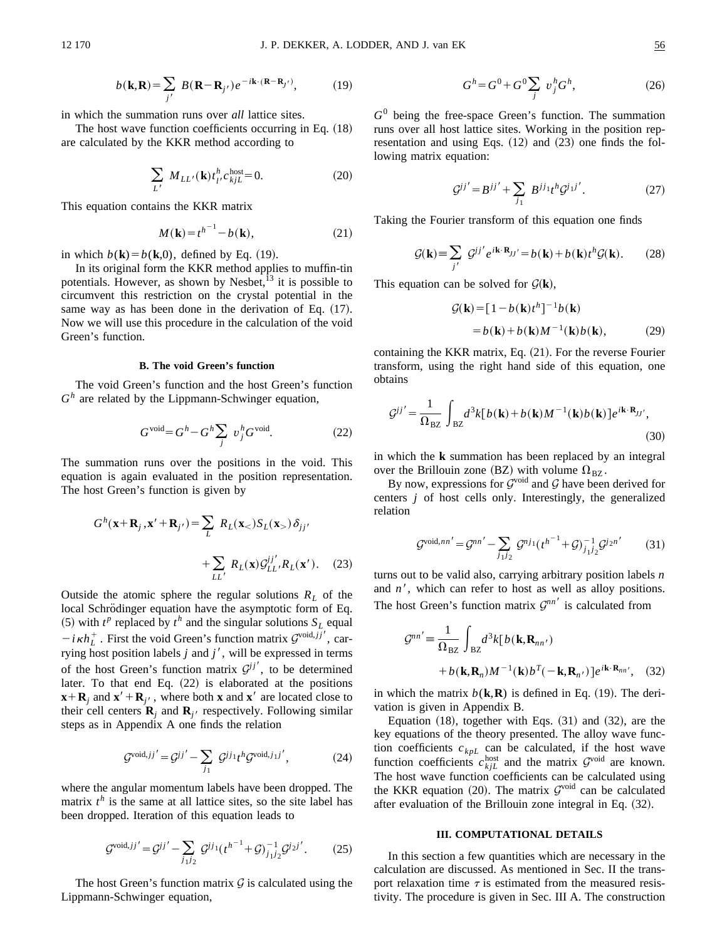$$
b(\mathbf{k}, \mathbf{R}) = \sum_{j'} B(\mathbf{R} - \mathbf{R}_{j'}) e^{-i\mathbf{k} \cdot (\mathbf{R} - \mathbf{R}_{j'})}, \quad (19)
$$

in which the summation runs over *all* lattice sites.

The host wave function coefficients occurring in Eq.  $(18)$ are calculated by the KKR method according to

$$
\sum_{L'} M_{LL'}(\mathbf{k}) t_{l'}^{h} c_{kjL}^{\text{host}} = 0.
$$
 (20)

This equation contains the KKR matrix

$$
M(\mathbf{k}) = t^{h^{-1}} - b(\mathbf{k}),\tag{21}
$$

in which  $b(\mathbf{k}) = b(\mathbf{k},0)$ , defined by Eq. (19).

In its original form the KKR method applies to muffin-tin potentials. However, as shown by Nesbet,<sup> $13$ </sup> it is possible to circumvent this restriction on the crystal potential in the same way as has been done in the derivation of Eq.  $(17)$ . Now we will use this procedure in the calculation of the void Green's function.

#### **B. The void Green's function**

The void Green's function and the host Green's function  $G<sup>h</sup>$  are related by the Lippmann-Schwinger equation,

$$
G^{\text{void}} = G^h - G^h \sum_{j} v_j^h G^{\text{void}}.
$$
 (22)

The summation runs over the positions in the void. This equation is again evaluated in the position representation. The host Green's function is given by

$$
G^{h}(\mathbf{x} + \mathbf{R}_{j}, \mathbf{x}' + \mathbf{R}_{j'}) = \sum_{L} R_{L}(\mathbf{x}_{<}) S_{L}(\mathbf{x}_{>}) \delta_{jj'}
$$

$$
+ \sum_{LL'} R_{L}(\mathbf{x}) \mathcal{G}_{LL'}^{jj'} R_{L}(\mathbf{x}'). \quad (23)
$$

Outside the atomic sphere the regular solutions  $R<sub>L</sub>$  of the local Schrödinger equation have the asymptotic form of Eq. (5) with  $t^p$  replaced by  $t^h$  and the singular solutions  $S_L$  equal  $-i\kappa h_L^+$ . First the void Green's function matrix  $\mathcal{G}^{\text{void}, jj'}$ , carrying host position labels  $j$  and  $j'$ , will be expressed in terms of the host Green's function matrix  $G^{jj'}$ , to be determined later. To that end Eq.  $(22)$  is elaborated at the positions  $\mathbf{x} + \mathbf{R}_i$  and  $\mathbf{x}' + \mathbf{R}_{i'}$ , where both **x** and **x**<sup>8</sup> are located close to their cell centers  $\mathbf{R}_i$  and  $\mathbf{R}_i$ <sup>t</sup> respectively. Following similar steps as in Appendix A one finds the relation

$$
\mathcal{G}^{\text{void},jj'} = \mathcal{G}^{jj'} - \sum_{j_1} \mathcal{G}^{jj_1} t^h \mathcal{G}^{\text{void},j_1j'},\tag{24}
$$

where the angular momentum labels have been dropped. The matrix  $t^h$  is the same at all lattice sites, so the site label has been dropped. Iteration of this equation leads to

$$
\mathcal{G}^{\text{void},jj'} = \mathcal{G}^{jj'} - \sum_{j_1 j_2} \mathcal{G}^{jj_1} (t^{h^{-1}} + \mathcal{G})^{-1}_{j_1 j_2} \mathcal{G}^{j_2 j'}.
$$
 (25)

The host Green's function matrix  $\mathcal G$  is calculated using the Lippmann-Schwinger equation,

$$
G^h = G^0 + G^0 \sum_j v_j^h G^h, \tag{26}
$$

*G*<sup>0</sup> being the free-space Green's function. The summation runs over all host lattice sites. Working in the position representation and using Eqs.  $(12)$  and  $(23)$  one finds the following matrix equation:

$$
\mathcal{G}^{jj'} = B^{jj'} + \sum_{j_1} B^{jj_1} t^h \mathcal{G}^{j_1 j'}.
$$
 (27)

Taking the Fourier transform of this equation one finds

$$
\mathcal{G}(\mathbf{k}) \equiv \sum_{j'} \mathcal{G}^{jj'} e^{i\mathbf{k} \cdot \mathbf{R}_{JJ'}} = b(\mathbf{k}) + b(\mathbf{k}) t^h \mathcal{G}(\mathbf{k}). \tag{28}
$$

This equation can be solved for  $G(\mathbf{k})$ ,

$$
\mathcal{G}(\mathbf{k}) = [1 - b(\mathbf{k})t^h]^{-1}b(\mathbf{k})
$$
  
= b(\mathbf{k}) + b(\mathbf{k})M^{-1}(\mathbf{k})b(\mathbf{k}), (29)

containing the KKR matrix, Eq. (21). For the reverse Fourier transform, using the right hand side of this equation, one obtains

$$
\mathcal{G}^{jj'} = \frac{1}{\Omega_{\rm BZ}} \int_{\rm BZ} d^3k [b(\mathbf{k}) + b(\mathbf{k})M^{-1}(\mathbf{k})b(\mathbf{k})]e^{i\mathbf{k}\cdot\mathbf{R}_{JJ'}},\tag{30}
$$

in which the **k** summation has been replaced by an integral over the Brillouin zone (BZ) with volume  $\Omega_{\rm BZ}$ .

By now, expressions for  $\mathcal{G}^{\text{void}}$  and  $\mathcal{G}$  have been derived for centers *j* of host cells only. Interestingly, the generalized relation

$$
\mathcal{G}^{\text{void},nn'} = \mathcal{G}^{nn'} - \sum_{j_1j_2} \mathcal{G}^{nj_1} (t^{n-1} + \mathcal{G})^{-1}_{j_1j_2} \mathcal{G}^{j_2n'} \tag{31}
$$

turns out to be valid also, carrying arbitrary position labels *n* and  $n'$ , which can refer to host as well as alloy positions. The host Green's function matrix  $G^{nn'}$  is calculated from

$$
\mathcal{G}^{nn'} = \frac{1}{\Omega_{\rm BZ}} \int_{\rm BZ} d^3k [b(\mathbf{k}, \mathbf{R}_{nn'})
$$
  
+  $b(\mathbf{k}, \mathbf{R}_n) M^{-1}(\mathbf{k}) b^T(-\mathbf{k}, \mathbf{R}_{n'})] e^{i\mathbf{k} \cdot \mathbf{R}_{nn'}},$  (32)

in which the matrix  $b(\mathbf{k}, \mathbf{R})$  is defined in Eq. (19). The derivation is given in Appendix B.

Equation  $(18)$ , together with Eqs.  $(31)$  and  $(32)$ , are the key equations of the theory presented. The alloy wave function coefficients  $c_{kpl}$  can be calculated, if the host wave function coefficients  $c_{kjL}^{\text{host}}$  and the matrix  $\mathcal{G}^{\text{void}}$  are known. The host wave function coefficients can be calculated using the KKR equation (20). The matrix  $G<sup>void</sup>$  can be calculated after evaluation of the Brillouin zone integral in Eq.  $(32)$ .

#### **III. COMPUTATIONAL DETAILS**

In this section a few quantities which are necessary in the calculation are discussed. As mentioned in Sec. II the transport relaxation time  $\tau$  is estimated from the measured resistivity. The procedure is given in Sec. III A. The construction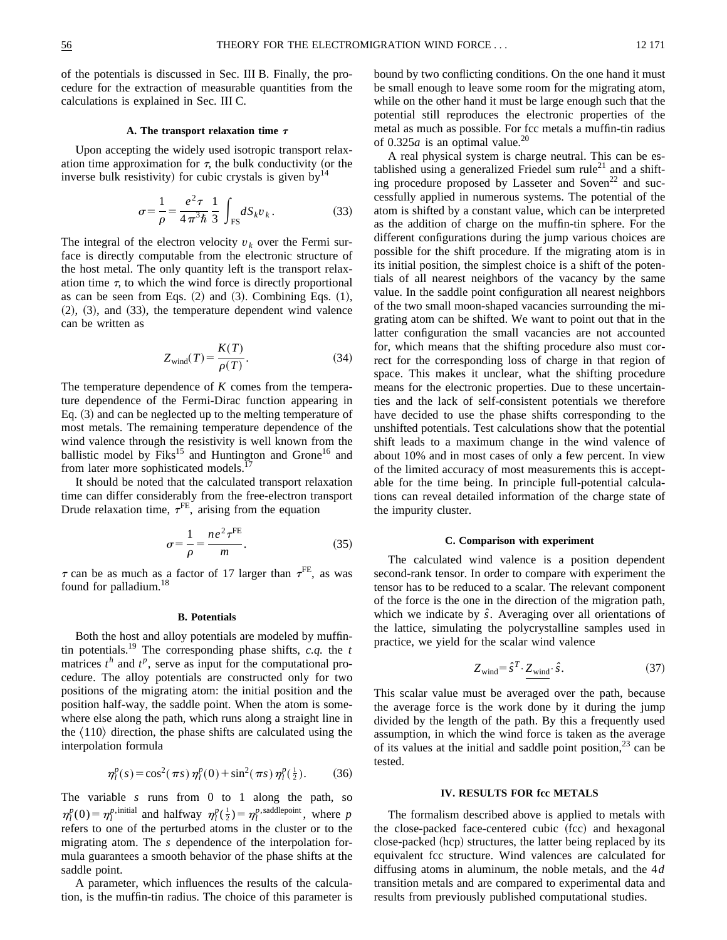of the potentials is discussed in Sec. III B. Finally, the procedure for the extraction of measurable quantities from the calculations is explained in Sec. III C.

### A. The transport relaxation time  $\tau$

Upon accepting the widely used isotropic transport relaxation time approximation for  $\tau$ , the bulk conductivity (or the inverse bulk resistivity) for cubic crystals is given by  $14$ 

$$
\sigma = \frac{1}{\rho} = \frac{e^2 \tau}{4 \pi^3 \hbar} \frac{1}{3} \int_{\text{FS}} dS_k v_k. \tag{33}
$$

The integral of the electron velocity  $v_k$  over the Fermi surface is directly computable from the electronic structure of the host metal. The only quantity left is the transport relaxation time  $\tau$ , to which the wind force is directly proportional as can be seen from Eqs.  $(2)$  and  $(3)$ . Combining Eqs.  $(1)$ ,  $(2)$ ,  $(3)$ , and  $(33)$ , the temperature dependent wind valence can be written as

$$
Z_{\text{wind}}(T) = \frac{K(T)}{\rho(T)}.
$$
\n(34)

The temperature dependence of *K* comes from the temperature dependence of the Fermi-Dirac function appearing in Eq.  $(3)$  and can be neglected up to the melting temperature of most metals. The remaining temperature dependence of the wind valence through the resistivity is well known from the ballistic model by Fiks<sup>15</sup> and Huntington and Grone<sup>16</sup> and from later more sophisticated models.<sup>17</sup>

It should be noted that the calculated transport relaxation time can differ considerably from the free-electron transport Drude relaxation time,  $\tau$ <sup>FE</sup>, arising from the equation

$$
\sigma = \frac{1}{\rho} = \frac{ne^2 \tau^{FE}}{m}.
$$
 (35)

 $\tau$  can be as much as a factor of 17 larger than  $\tau$ <sup>FE</sup>, as was found for palladium.<sup>18</sup>

#### **B. Potentials**

Both the host and alloy potentials are modeled by muffintin potentials.<sup>19</sup> The corresponding phase shifts, *c.q.* the *t* matrices  $t^h$  and  $t^p$ , serve as input for the computational procedure. The alloy potentials are constructed only for two positions of the migrating atom: the initial position and the position half-way, the saddle point. When the atom is somewhere else along the path, which runs along a straight line in the  $\langle 110 \rangle$  direction, the phase shifts are calculated using the interpolation formula

$$
\eta_l^p(s) = \cos^2(\pi s) \eta_l^p(0) + \sin^2(\pi s) \eta_l^p(\tfrac{1}{2}).
$$
 (36)

The variable *s* runs from 0 to 1 along the path, so  $\eta_l^p(0) = \eta_l^{p, \text{initial}}$  and halfway  $\eta_l^p(\frac{1}{2}) = \eta_l^{p, \text{saddlepoint}}$ , where *p* refers to one of the perturbed atoms in the cluster or to the migrating atom. The *s* dependence of the interpolation formula guarantees a smooth behavior of the phase shifts at the saddle point.

A parameter, which influences the results of the calculation, is the muffin-tin radius. The choice of this parameter is bound by two conflicting conditions. On the one hand it must be small enough to leave some room for the migrating atom, while on the other hand it must be large enough such that the potential still reproduces the electronic properties of the metal as much as possible. For fcc metals a muffin-tin radius of  $0.325a$  is an optimal value.<sup>20</sup>

A real physical system is charge neutral. This can be established using a generalized Friedel sum rule<sup>21</sup> and a shifting procedure proposed by Lasseter and Soven<sup>22</sup> and successfully applied in numerous systems. The potential of the atom is shifted by a constant value, which can be interpreted as the addition of charge on the muffin-tin sphere. For the different configurations during the jump various choices are possible for the shift procedure. If the migrating atom is in its initial position, the simplest choice is a shift of the potentials of all nearest neighbors of the vacancy by the same value. In the saddle point configuration all nearest neighbors of the two small moon-shaped vacancies surrounding the migrating atom can be shifted. We want to point out that in the latter configuration the small vacancies are not accounted for, which means that the shifting procedure also must correct for the corresponding loss of charge in that region of space. This makes it unclear, what the shifting procedure means for the electronic properties. Due to these uncertainties and the lack of self-consistent potentials we therefore have decided to use the phase shifts corresponding to the unshifted potentials. Test calculations show that the potential shift leads to a maximum change in the wind valence of about 10% and in most cases of only a few percent. In view of the limited accuracy of most measurements this is acceptable for the time being. In principle full-potential calculations can reveal detailed information of the charge state of the impurity cluster.

#### **C. Comparison with experiment**

The calculated wind valence is a position dependent second-rank tensor. In order to compare with experiment the tensor has to be reduced to a scalar. The relevant component of the force is the one in the direction of the migration path, which we indicate by  $\hat{s}$ . Averaging over all orientations of the lattice, simulating the polycrystalline samples used in practice, we yield for the scalar wind valence

$$
Z_{\text{wind}} = \hat{s}^T \cdot Z_{\text{wind}} \cdot \hat{s}.\tag{37}
$$

This scalar value must be averaged over the path, because the average force is the work done by it during the jump divided by the length of the path. By this a frequently used assumption, in which the wind force is taken as the average of its values at the initial and saddle point position, $^{23}$  can be tested.

#### **IV. RESULTS FOR fcc METALS**

The formalism described above is applied to metals with the close-packed face-centered cubic (fcc) and hexagonal close-packed (hcp) structures, the latter being replaced by its equivalent fcc structure. Wind valences are calculated for diffusing atoms in aluminum, the noble metals, and the 4*d* transition metals and are compared to experimental data and results from previously published computational studies.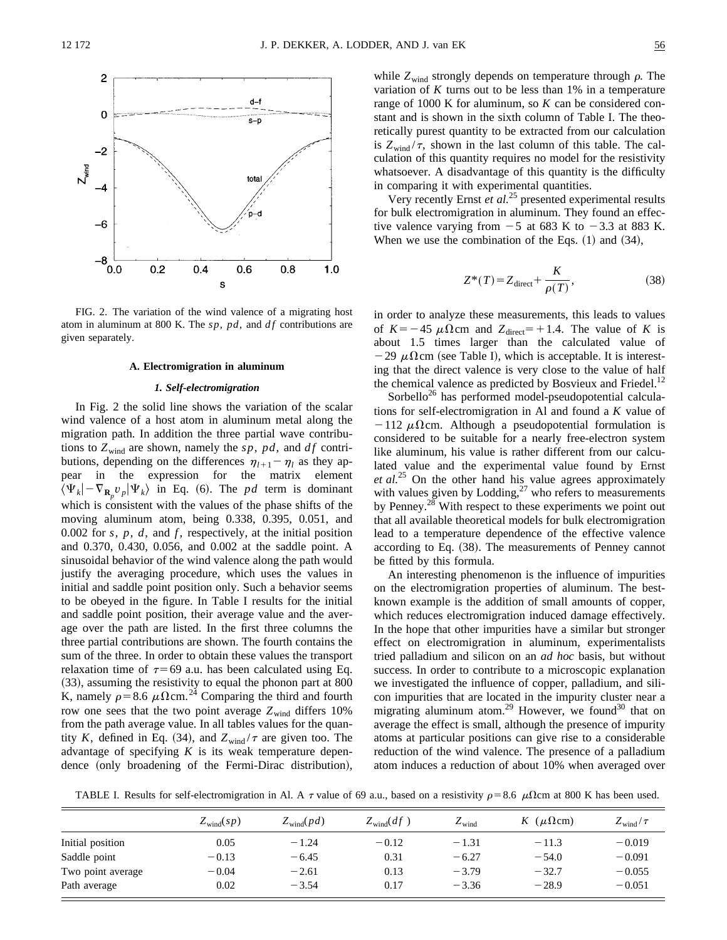

FIG. 2. The variation of the wind valence of a migrating host atom in aluminum at 800 K. The *sp*, *pd*, and *df* contributions are given separately.

#### **A. Electromigration in aluminum**

## *1. Self-electromigration*

In Fig. 2 the solid line shows the variation of the scalar wind valence of a host atom in aluminum metal along the migration path. In addition the three partial wave contributions to  $Z_{wind}$  are shown, namely the *sp*, *pd*, and *df* contributions, depending on the differences  $\eta_{l+1} - \eta_l$  as they appear in the expression for the matrix element  $\langle \Psi_k | - \nabla_{\mathbf{R}_p} v_p | \Psi_k \rangle$  in Eq. (6). The *pd* term is dominant which is consistent with the values of the phase shifts of the moving aluminum atom, being 0.338, 0.395, 0.051, and 0.002 for *s*, *p*, *d*, and *f* , respectively, at the initial position and 0.370, 0.430, 0.056, and 0.002 at the saddle point. A sinusoidal behavior of the wind valence along the path would justify the averaging procedure, which uses the values in initial and saddle point position only. Such a behavior seems to be obeyed in the figure. In Table I results for the initial and saddle point position, their average value and the average over the path are listed. In the first three columns the three partial contributions are shown. The fourth contains the sum of the three. In order to obtain these values the transport relaxation time of  $\tau=69$  a.u. has been calculated using Eq.  $(33)$ , assuming the resistivity to equal the phonon part at 800 K, namely  $\rho=8.6 \ \mu\Omega \text{cm}^{24}$  Comparing the third and fourth row one sees that the two point average  $Z_{wind}$  differs 10% from the path average value. In all tables values for the quantity *K*, defined in Eq. (34), and  $Z_{wind}/\tau$  are given too. The advantage of specifying *K* is its weak temperature dependence (only broadening of the Fermi-Dirac distribution), while  $Z_{wind}$  strongly depends on temperature through  $\rho$ . The variation of *K* turns out to be less than 1% in a temperature range of 1000 K for aluminum, so *K* can be considered constant and is shown in the sixth column of Table I. The theoretically purest quantity to be extracted from our calculation is  $Z_{wind}/\tau$ , shown in the last column of this table. The calculation of this quantity requires no model for the resistivity whatsoever. A disadvantage of this quantity is the difficulty in comparing it with experimental quantities.

Very recently Ernst *et al.*<sup>25</sup> presented experimental results for bulk electromigration in aluminum. They found an effective valence varying from  $-5$  at 683 K to  $-3.3$  at 883 K. When we use the combination of the Eqs.  $(1)$  and  $(34)$ ,

$$
Z^*(T) = Z_{\text{direct}} + \frac{K}{\rho(T)},\tag{38}
$$

in order to analyze these measurements, this leads to values of  $K = -45 \mu \Omega \text{cm}$  and  $Z_{\text{direct}} = +1.4$ . The value of *K* is about 1.5 times larger than the calculated value of  $-29 \mu \Omega$ cm (see Table I), which is acceptable. It is interesting that the direct valence is very close to the value of half the chemical valence as predicted by Bosvieux and Friedel.<sup>12</sup>

Sorbello<sup>26</sup> has performed model-pseudopotential calculations for self-electromigration in Al and found a *K* value of  $-112 \mu \Omega$ cm. Although a pseudopotential formulation is considered to be suitable for a nearly free-electron system like aluminum, his value is rather different from our calculated value and the experimental value found by Ernst *et al.*<sup>25</sup> On the other hand his value agrees approximately with values given by Lodding, $^{27}$  who refers to measurements by Penney.<sup>28</sup> With respect to these experiments we point out that all available theoretical models for bulk electromigration lead to a temperature dependence of the effective valence according to Eq.  $(38)$ . The measurements of Penney cannot be fitted by this formula.

An interesting phenomenon is the influence of impurities on the electromigration properties of aluminum. The bestknown example is the addition of small amounts of copper, which reduces electromigration induced damage effectively. In the hope that other impurities have a similar but stronger effect on electromigration in aluminum, experimentalists tried palladium and silicon on an *ad hoc* basis, but without success. In order to contribute to a microscopic explanation we investigated the influence of copper, palladium, and silicon impurities that are located in the impurity cluster near a migrating aluminum atom.<sup>29</sup> However, we found  $30^{\circ}$  that on average the effect is small, although the presence of impurity atoms at particular positions can give rise to a considerable reduction of the wind valence. The presence of a palladium atom induces a reduction of about 10% when averaged over

TABLE I. Results for self-electromigration in Al. A  $\tau$  value of 69 a.u., based on a resistivity  $\rho = 8.6 \mu\Omega$ cm at 800 K has been used.

|                   | $Z_{\rm wind}(sp)$ | $Z_{wind}(pd)$ | $Z_{wind}(df)$ | $L_{wind}$ | K $(\mu \Omega$ cm) | $Z_{\rm wind}/\tau$ |
|-------------------|--------------------|----------------|----------------|------------|---------------------|---------------------|
| Initial position  | 0.05               | $-1.24$        | $-0.12$        | $-1.31$    | $-11.3$             | $-0.019$            |
| Saddle point      | $-0.13$            | $-6.45$        | 0.31           | $-6.27$    | $-54.0$             | $-0.091$            |
| Two point average | $-0.04$            | $-2.61$        | 0.13           | $-3.79$    | $-32.7$             | $-0.055$            |
| Path average      | 0.02               | $-3.54$        | 0.17           | $-3.36$    | $-28.9$             | $-0.051$            |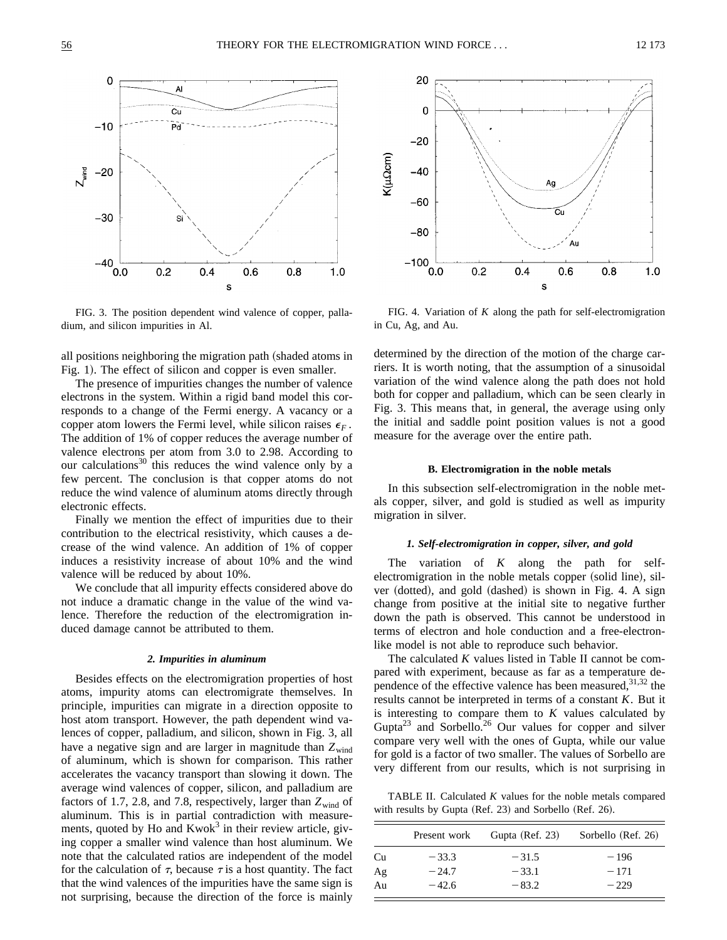



FIG. 3. The position dependent wind valence of copper, palladium, and silicon impurities in Al.

all positions neighboring the migration path (shaded atoms in Fig. 1). The effect of silicon and copper is even smaller.

The presence of impurities changes the number of valence electrons in the system. Within a rigid band model this corresponds to a change of the Fermi energy. A vacancy or a copper atom lowers the Fermi level, while silicon raises  $\epsilon_F$ . The addition of 1% of copper reduces the average number of valence electrons per atom from 3.0 to 2.98. According to our calculations<sup>30</sup> this reduces the wind valence only by a few percent. The conclusion is that copper atoms do not reduce the wind valence of aluminum atoms directly through electronic effects.

Finally we mention the effect of impurities due to their contribution to the electrical resistivity, which causes a decrease of the wind valence. An addition of 1% of copper induces a resistivity increase of about 10% and the wind valence will be reduced by about 10%.

We conclude that all impurity effects considered above do not induce a dramatic change in the value of the wind valence. Therefore the reduction of the electromigration induced damage cannot be attributed to them.

#### *2. Impurities in aluminum*

Besides effects on the electromigration properties of host atoms, impurity atoms can electromigrate themselves. In principle, impurities can migrate in a direction opposite to host atom transport. However, the path dependent wind valences of copper, palladium, and silicon, shown in Fig. 3, all have a negative sign and are larger in magnitude than  $Z_{wind}$ of aluminum, which is shown for comparison. This rather accelerates the vacancy transport than slowing it down. The average wind valences of copper, silicon, and palladium are factors of 1.7, 2.8, and 7.8, respectively, larger than  $Z_{wind}$  of aluminum. This is in partial contradiction with measurements, quoted by Ho and  $Kwok<sup>3</sup>$  in their review article, giving copper a smaller wind valence than host aluminum. We note that the calculated ratios are independent of the model for the calculation of  $\tau$ , because  $\tau$  is a host quantity. The fact that the wind valences of the impurities have the same sign is not surprising, because the direction of the force is mainly



FIG. 4. Variation of *K* along the path for self-electromigration in Cu, Ag, and Au.

determined by the direction of the motion of the charge carriers. It is worth noting, that the assumption of a sinusoidal variation of the wind valence along the path does not hold both for copper and palladium, which can be seen clearly in Fig. 3. This means that, in general, the average using only the initial and saddle point position values is not a good measure for the average over the entire path.

#### **B. Electromigration in the noble metals**

In this subsection self-electromigration in the noble metals copper, silver, and gold is studied as well as impurity migration in silver.

#### *1. Self-electromigration in copper, silver, and gold*

The variation of *K* along the path for self $e$ lectromigration in the noble metals copper (solid line), silver (dotted), and gold (dashed) is shown in Fig. 4. A sign change from positive at the initial site to negative further down the path is observed. This cannot be understood in terms of electron and hole conduction and a free-electronlike model is not able to reproduce such behavior.

The calculated *K* values listed in Table II cannot be compared with experiment, because as far as a temperature dependence of the effective valence has been measured, 31,32 the results cannot be interpreted in terms of a constant *K*. But it is interesting to compare them to  $K$  values calculated by Gupta<sup>23</sup> and Sorbello.<sup>26</sup> Our values for copper and silver compare very well with the ones of Gupta, while our value for gold is a factor of two smaller. The values of Sorbello are very different from our results, which is not surprising in

TABLE II. Calculated *K* values for the noble metals compared with results by Gupta  $(Ref. 23)$  and Sorbello  $(Ref. 26)$ .

|    | Present work | Gupta (Ref. 23) | Sorbello (Ref. 26) |
|----|--------------|-----------------|--------------------|
| Cu | $-33.3$      | $-31.5$         | $-196$             |
| Ag | $-24.7$      | $-33.1$         | $-171$             |
| Au | $-42.6$      | $-83.2$         | $-229$             |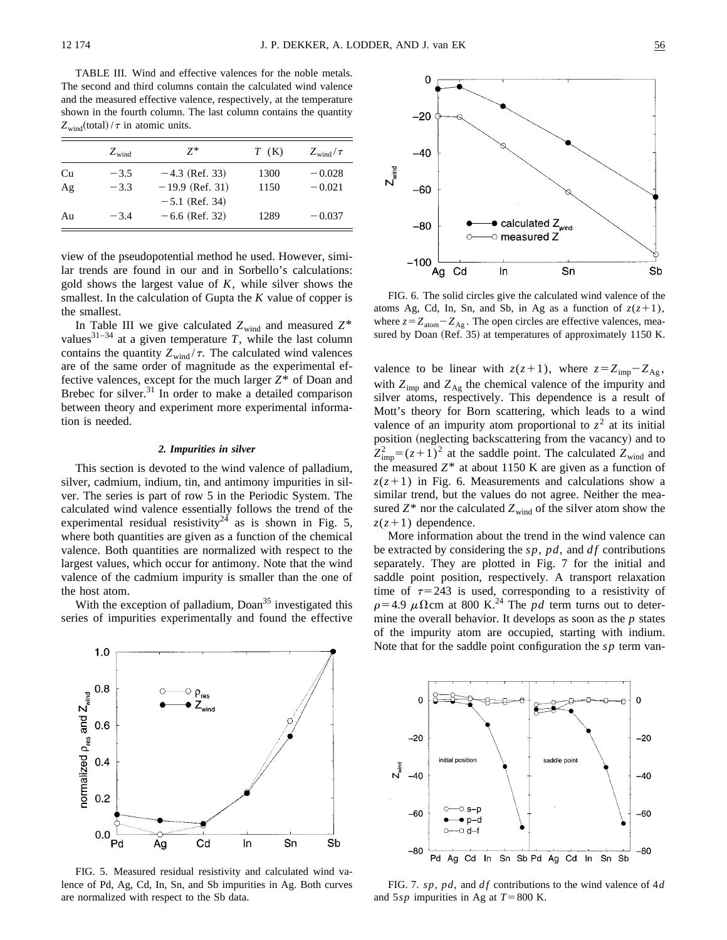TABLE III. Wind and effective valences for the noble metals. The second and third columns contain the calculated wind valence and the measured effective valence, respectively, at the temperature shown in the fourth column. The last column contains the quantity  $Z_{wind}$ (total) /  $\tau$  in atomic units.

|    | $Z_{\text{wind}}$ | 7*                | T(K) | $Z_{\rm wind}/\tau$ |
|----|-------------------|-------------------|------|---------------------|
| Cu | $-3.5$            | $-4.3$ (Ref. 33)  | 1300 | $-0.028$            |
| Ag | $-3.3$            | $-19.9$ (Ref. 31) | 1150 | $-0.021$            |
|    |                   | $-5.1$ (Ref. 34)  |      |                     |
| Au | $-3.4$            | $-6.6$ (Ref. 32)  | 1289 | $-0.037$            |

view of the pseudopotential method he used. However, similar trends are found in our and in Sorbello's calculations: gold shows the largest value of *K*, while silver shows the smallest. In the calculation of Gupta the *K* value of copper is the smallest.

In Table III we give calculated  $Z_{wind}$  and measured  $Z^*$ values<sup>31–34</sup> at a given temperature  $T$ , while the last column contains the quantity  $Z_{wind}/\tau$ . The calculated wind valences are of the same order of magnitude as the experimental effective valences, except for the much larger *Z*\* of Doan and Brebec for silver.<sup>31</sup> In order to make a detailed comparison between theory and experiment more experimental information is needed.

#### *2. Impurities in silver*

This section is devoted to the wind valence of palladium, silver, cadmium, indium, tin, and antimony impurities in silver. The series is part of row 5 in the Periodic System. The calculated wind valence essentially follows the trend of the experimental residual resistivity<sup>24</sup> as is shown in Fig. 5, where both quantities are given as a function of the chemical valence. Both quantities are normalized with respect to the largest values, which occur for antimony. Note that the wind valence of the cadmium impurity is smaller than the one of the host atom.

With the exception of palladium,  $Doan<sup>35</sup>$  investigated this series of impurities experimentally and found the effective



FIG. 6. The solid circles give the calculated wind valence of the atoms Ag, Cd, In, Sn, and Sb, in Ag as a function of  $z(z+1)$ , where  $z = Z_{atom} - Z_{Ag}$ . The open circles are effective valences, measured by Doan (Ref. 35) at temperatures of approximately 1150 K.

valence to be linear with  $z(z+1)$ , where  $z = Z_{\text{imp}} - Z_{\text{Ag}}$ , with  $Z_{\text{imp}}$  and  $Z_{\text{Ag}}$  the chemical valence of the impurity and silver atoms, respectively. This dependence is a result of Mott's theory for Born scattering, which leads to a wind valence of an impurity atom proportional to  $z<sup>2</sup>$  at its initial position (neglecting backscattering from the vacancy) and to  $Z_{\text{imp}}^2 = (z+1)^2$  at the saddle point. The calculated  $Z_{\text{wind}}$  and the measured *Z*\* at about 1150 K are given as a function of  $z(z+1)$  in Fig. 6. Measurements and calculations show a similar trend, but the values do not agree. Neither the measured  $Z^*$  nor the calculated  $Z_{wind}$  of the silver atom show the  $z(z+1)$  dependence.

More information about the trend in the wind valence can be extracted by considering the *sp*, *pd*, and *d f* contributions separately. They are plotted in Fig. 7 for the initial and saddle point position, respectively. A transport relaxation time of  $\tau=243$  is used, corresponding to a resistivity of  $\rho$ =4.9  $\mu \Omega$ cm at 800 K.<sup>24</sup> The *pd* term turns out to determine the overall behavior. It develops as soon as the *p* states of the impurity atom are occupied, starting with indium. Note that for the saddle point configuration the *sp* term van-



FIG. 5. Measured residual resistivity and calculated wind valence of Pd, Ag, Cd, In, Sn, and Sb impurities in Ag. Both curves are normalized with respect to the Sb data.



FIG. 7. *sp*, *pd*, and *df* contributions to the wind valence of 4*d* and  $5sp$  impurities in Ag at  $T=800$  K.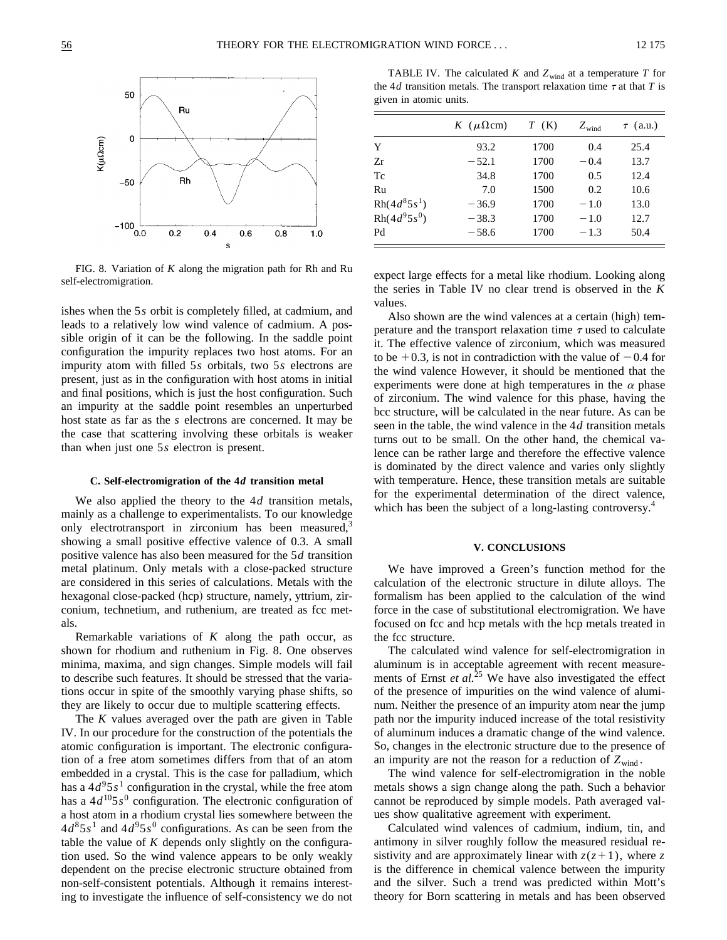

FIG. 8. Variation of *K* along the migration path for Rh and Ru self-electromigration.

ishes when the 5*s* orbit is completely filled, at cadmium, and leads to a relatively low wind valence of cadmium. A possible origin of it can be the following. In the saddle point configuration the impurity replaces two host atoms. For an impurity atom with filled 5*s* orbitals, two 5*s* electrons are present, just as in the configuration with host atoms in initial and final positions, which is just the host configuration. Such an impurity at the saddle point resembles an unperturbed host state as far as the *s* electrons are concerned. It may be the case that scattering involving these orbitals is weaker than when just one 5*s* electron is present.

#### **C. Self-electromigration of the 4***d* **transition metal**

We also applied the theory to the 4*d* transition metals, mainly as a challenge to experimentalists. To our knowledge only electrotransport in zirconium has been measured, $3$ showing a small positive effective valence of 0.3. A small positive valence has also been measured for the 5*d* transition metal platinum. Only metals with a close-packed structure are considered in this series of calculations. Metals with the hexagonal close-packed (hcp) structure, namely, yttrium, zirconium, technetium, and ruthenium, are treated as fcc metals.

Remarkable variations of *K* along the path occur, as shown for rhodium and ruthenium in Fig. 8. One observes minima, maxima, and sign changes. Simple models will fail to describe such features. It should be stressed that the variations occur in spite of the smoothly varying phase shifts, so they are likely to occur due to multiple scattering effects.

The *K* values averaged over the path are given in Table IV. In our procedure for the construction of the potentials the atomic configuration is important. The electronic configuration of a free atom sometimes differs from that of an atom embedded in a crystal. This is the case for palladium, which has a  $4d^95s^1$  configuration in the crystal, while the free atom has a  $4d^{10}5s^0$  configuration. The electronic configuration of a host atom in a rhodium crystal lies somewhere between the  $4d<sup>8</sup>5s<sup>1</sup>$  and  $4d<sup>9</sup>5s<sup>0</sup>$  configurations. As can be seen from the table the value of *K* depends only slightly on the configuration used. So the wind valence appears to be only weakly dependent on the precise electronic structure obtained from non-self-consistent potentials. Although it remains interesting to investigate the influence of self-consistency we do not

TABLE IV. The calculated *K* and  $Z_{wind}$  at a temperature *T* for the 4*d* transition metals. The transport relaxation time  $\tau$  at that *T* is given in atomic units.

|                    | K $(\mu \Omega$ cm) | T(K) | $Z_{wind}$ | $\tau$ (a.u.) |
|--------------------|---------------------|------|------------|---------------|
| Y                  | 93.2                | 1700 | 0.4        | 25.4          |
| Zr                 | $-52.1$             | 1700 | $-0.4$     | 13.7          |
| Tc                 | 34.8                | 1700 | 0.5        | 12.4          |
| Ru                 | 7.0                 | 1500 | 0.2        | 10.6          |
| $Rh(4d^85s^1)$     | $-36.9$             | 1700 | $-1.0$     | 13.0          |
| $Rh(4d^{9}5s^{0})$ | $-38.3$             | 1700 | $-1.0$     | 12.7          |
| Pd                 | $-58.6$             | 1700 | $-1.3$     | 50.4          |

expect large effects for a metal like rhodium. Looking along the series in Table IV no clear trend is observed in the *K* values.

Also shown are the wind valences at a certain (high) temperature and the transport relaxation time  $\tau$  used to calculate it. The effective valence of zirconium, which was measured to be  $\pm 0.3$ , is not in contradiction with the value of  $-0.4$  for the wind valence However, it should be mentioned that the experiments were done at high temperatures in the  $\alpha$  phase of zirconium. The wind valence for this phase, having the bcc structure, will be calculated in the near future. As can be seen in the table, the wind valence in the 4*d* transition metals turns out to be small. On the other hand, the chemical valence can be rather large and therefore the effective valence is dominated by the direct valence and varies only slightly with temperature. Hence, these transition metals are suitable for the experimental determination of the direct valence, which has been the subject of a long-lasting controversy.<sup>4</sup>

# **V. CONCLUSIONS**

We have improved a Green's function method for the calculation of the electronic structure in dilute alloys. The formalism has been applied to the calculation of the wind force in the case of substitutional electromigration. We have focused on fcc and hcp metals with the hcp metals treated in the fcc structure.

The calculated wind valence for self-electromigration in aluminum is in acceptable agreement with recent measurements of Ernst *et al.*<sup>25</sup> We have also investigated the effect of the presence of impurities on the wind valence of aluminum. Neither the presence of an impurity atom near the jump path nor the impurity induced increase of the total resistivity of aluminum induces a dramatic change of the wind valence. So, changes in the electronic structure due to the presence of an impurity are not the reason for a reduction of  $Z_{wind}$ .

The wind valence for self-electromigration in the noble metals shows a sign change along the path. Such a behavior cannot be reproduced by simple models. Path averaged values show qualitative agreement with experiment.

Calculated wind valences of cadmium, indium, tin, and antimony in silver roughly follow the measured residual resistivity and are approximately linear with  $z(z+1)$ , where *z* is the difference in chemical valence between the impurity and the silver. Such a trend was predicted within Mott's theory for Born scattering in metals and has been observed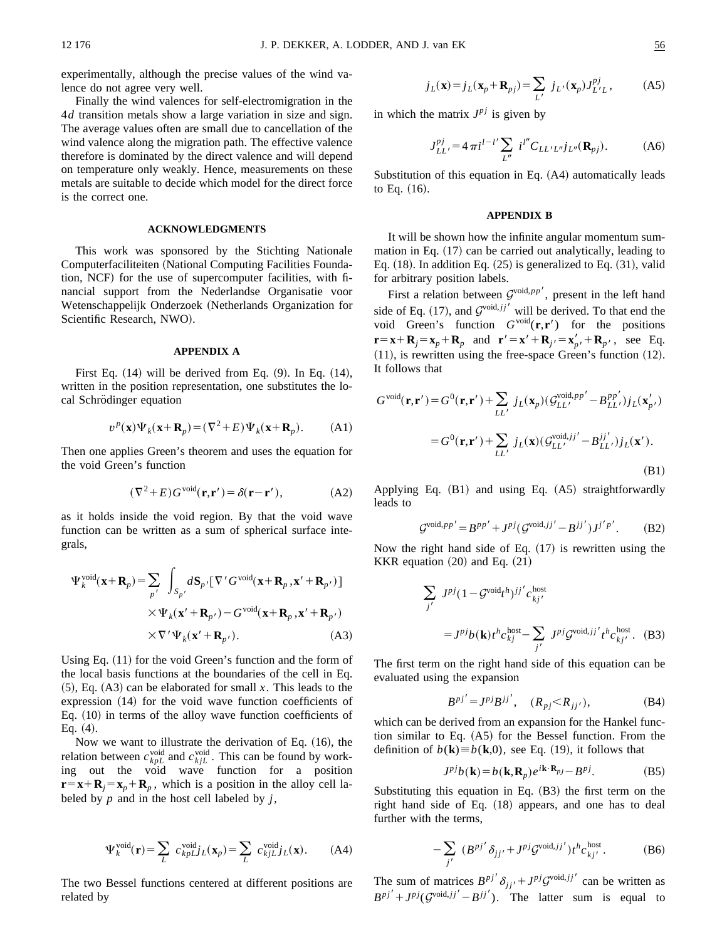experimentally, although the precise values of the wind valence do not agree very well.

Finally the wind valences for self-electromigration in the 4*d* transition metals show a large variation in size and sign. The average values often are small due to cancellation of the wind valence along the migration path. The effective valence therefore is dominated by the direct valence and will depend on temperature only weakly. Hence, measurements on these metals are suitable to decide which model for the direct force is the correct one.

# **ACKNOWLEDGMENTS**

This work was sponsored by the Stichting Nationale Computerfaciliteiten (National Computing Facilities Foundation, NCF) for the use of supercomputer facilities, with financial support from the Nederlandse Organisatie voor Wetenschappelijk Onderzoek (Netherlands Organization for Scientific Research, NWO).

#### **APPENDIX A**

First Eq.  $(14)$  will be derived from Eq.  $(9)$ . In Eq.  $(14)$ , written in the position representation, one substitutes the local Schrödinger equation

$$
v^{p}(\mathbf{x})\Psi_{k}(\mathbf{x}+\mathbf{R}_{p})=(\nabla^{2}+E)\Psi_{k}(\mathbf{x}+\mathbf{R}_{p}).
$$
 (A1)

Then one applies Green's theorem and uses the equation for the void Green's function

$$
(\nabla^2 + E) G^{\text{void}}(\mathbf{r}, \mathbf{r}') = \delta(\mathbf{r} - \mathbf{r}'), \tag{A2}
$$

as it holds inside the void region. By that the void wave function can be written as a sum of spherical surface integrals,

$$
\Psi_k^{\text{void}}(\mathbf{x} + \mathbf{R}_p) = \sum_{p'} \int_{S_{p'}} d\mathbf{S}_{p'} [\nabla' G^{\text{void}}(\mathbf{x} + \mathbf{R}_p, \mathbf{x'} + \mathbf{R}_{p'})]
$$
  
 
$$
\times \Psi_k(\mathbf{x'} + \mathbf{R}_{p'}) - G^{\text{void}}(\mathbf{x} + \mathbf{R}_p, \mathbf{x'} + \mathbf{R}_{p'})
$$
  
 
$$
\times \nabla' \Psi_k(\mathbf{x'} + \mathbf{R}_{p'}).
$$
 (A3)

Using Eq.  $(11)$  for the void Green's function and the form of the local basis functions at the boundaries of the cell in Eq.  $(5)$ , Eq.  $(A3)$  can be elaborated for small x. This leads to the expression  $(14)$  for the void wave function coefficients of Eq.  $(10)$  in terms of the alloy wave function coefficients of Eq.  $(4)$ .

Now we want to illustrate the derivation of Eq.  $(16)$ , the relation between  $c_{kpL}^{\text{void}}$  and  $c_{kjL}^{\text{void}}$ . This can be found by working out the void wave function for a position  $\mathbf{r} = \mathbf{x} + \mathbf{R}_i = \mathbf{x}_p + \mathbf{R}_p$ , which is a position in the alloy cell labeled by  $p$  and in the host cell labeled by  $j$ ,

$$
\Psi_k^{\text{void}}(\mathbf{r}) = \sum_L c_{k p L}^{\text{void}} L(\mathbf{x}_p) = \sum_L c_{k j L}^{\text{void}} j_L(\mathbf{x}).
$$
 (A4)

The two Bessel functions centered at different positions are related by

$$
j_L(\mathbf{x}) = j_L(\mathbf{x}_p + \mathbf{R}_{pj}) = \sum_{L'} j_{L'}(\mathbf{x}_p) J_{L'L}^{pj}, \tag{A5}
$$

in which the matrix  $J^{pj}$  is given by

$$
J_{LL'}^{pj} = 4 \pi i^{l-l'} \sum_{L''} i^{l''} C_{LL'L''} j_{L''}(\mathbf{R}_{pj}).
$$
 (A6)

Substitution of this equation in Eq.  $(A4)$  automatically leads to Eq.  $(16)$ .

#### **APPENDIX B**

It will be shown how the infinite angular momentum summation in Eq.  $(17)$  can be carried out analytically, leading to Eq.  $(18)$ . In addition Eq.  $(25)$  is generalized to Eq.  $(31)$ , valid for arbitrary position labels.

First a relation between  $\mathcal{G}^{\text{void}, pp'}$ , present in the left hand side of Eq. (17), and  $\mathcal{G}^{\text{void}, j j'}$  will be derived. To that end the void Green's function  $G^{void}(\mathbf{r}, \mathbf{r}')$  for the positions  $\mathbf{r} = \mathbf{x} + \mathbf{R}_j = \mathbf{x}_p + \mathbf{R}_p$  and  $\mathbf{r}' = \mathbf{x}' + \mathbf{R}_{j'} = \mathbf{x}'_p + \mathbf{R}_{p'}$ , see Eq.  $(11)$ , is rewritten using the free-space Green's function  $(12)$ . It follows that

$$
G^{\text{void}}(\mathbf{r}, \mathbf{r}') = G^0(\mathbf{r}, \mathbf{r}') + \sum_{LL'} j_L(\mathbf{x}_p) (\mathcal{G}_{LL'}^{\text{void}, pp'} - B_{LL'}^{pp'}) j_L(\mathbf{x}'_{p'})
$$

$$
= G^0(\mathbf{r}, \mathbf{r}') + \sum_{LL'} j_L(\mathbf{x}) (\mathcal{G}_{LL'}^{\text{void}, jj'} - B_{LL'}^{jj'}) j_L(\mathbf{x}').
$$
(B1)

Applying Eq.  $(B1)$  and using Eq.  $(A5)$  straightforwardly leads to

$$
\mathcal{G}^{\text{void}, pp'} = B^{pp'} + J^{pj} (\mathcal{G}^{\text{void}, jj'} - B^{jj'}) J^{j'p'}.
$$
 (B2)

Now the right hand side of Eq.  $(17)$  is rewritten using the KKR equation  $(20)$  and Eq.  $(21)$ 

$$
\sum_{j'} J^{pj} (1 - \mathcal{G}^{\text{void}} t^h)^{jj'} c_{kj'}^{\text{host}}
$$
  
=  $J^{pj} b(\mathbf{k}) t^h c_{kj}^{\text{host}} - \sum_{j'} J^{pj} \mathcal{G}^{\text{void},jj'} t^h c_{kj'}^{\text{host}}.$  (B3)

The first term on the right hand side of this equation can be evaluated using the expansion

$$
B^{pj'} = J^{pj} B^{jj'}, \quad (R_{pj} < R_{jj'}), \tag{B4}
$$

which can be derived from an expansion for the Hankel function similar to Eq.  $(A5)$  for the Bessel function. From the definition of  $b(\mathbf{k}) \equiv b(\mathbf{k},0)$ , see Eq. (19), it follows that

$$
J^{pj}b(\mathbf{k}) = b(\mathbf{k}, \mathbf{R}_p)e^{i\mathbf{k}\cdot\mathbf{R}_{pj}} - B^{pj}.
$$
 (B5)

Substituting this equation in Eq.  $(B3)$  the first term on the right hand side of Eq.  $(18)$  appears, and one has to deal further with the terms,

$$
-\sum_{j'} (B^{pj'} \delta_{jj'} + J^{pj} \mathcal{G}^{\text{void},jj'}) t^h c_{kj'}^{\text{host}}.
$$
 (B6)

The sum of matrices  $B^{pj'}\delta_{jj'} + J^{pj}G^{\text{void},jj'}$  can be written as  $B^{pj'} + J^{pj}(G^{\text{void},jj'} - B^{jj'})$ . The latter sum is equal to